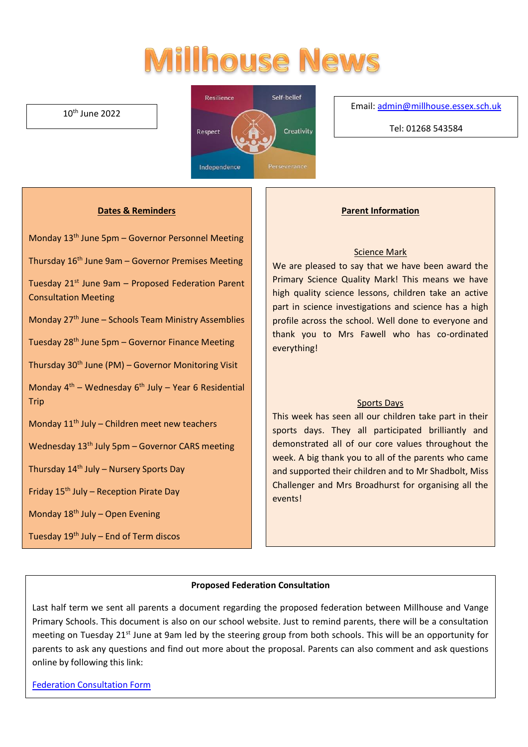# **Millhouse News**

#### 10th June 2022



#### Email[: admin@millhouse.essex.sch.uk](mailto:admin@millhouse.essex.sch.uk)

Tel: 01268 543584

#### **Dates & Reminders**

Monday 13th June 5pm – Governor Personnel Meeting

Thursday  $16<sup>th</sup>$  June 9am – Governor Premises Meeting

Tuesday  $21^{st}$  June 9am – Proposed Federation Parent Consultation Meeting

Monday 27<sup>th</sup> June – Schools Team Ministry Assemblies

Tuesday 28th June 5pm – Governor Finance Meeting

Thursday 30th June (PM) – Governor Monitoring Visit

Monday  $4<sup>th</sup>$  – Wednesday  $6<sup>th</sup>$  July – Year 6 Residential Trip

Monday  $11<sup>th</sup>$  July – Children meet new teachers

Wednesday 13<sup>th</sup> July 5pm – Governor CARS meeting

Thursday  $14<sup>th</sup>$  July – Nursery Sports Day

Friday  $15<sup>th</sup>$  July – Reception Pirate Day

Monday  $18<sup>th</sup>$  July – Open Evening

Tuesday 19th July – End of Term discos

#### **Parent Information**

#### Science Mark

We are pleased to say that we have been award the Primary Science Quality Mark! This means we have high quality science lessons, children take an active part in science investigations and science has a high profile across the school. Well done to everyone and thank you to Mrs Fawell who has co-ordinated everything!

#### Sports Days

This week has seen all our children take part in their sports days. They all participated brilliantly and demonstrated all of our core values throughout the week. A big thank you to all of the parents who came and supported their children and to Mr Shadbolt, Miss Challenger and Mrs Broadhurst for organising all the events!

#### **Proposed Federation Consultation**

Last half term we sent all parents a document regarding the proposed federation between Millhouse and Vange Primary Schools. This document is also on our school website. Just to remind parents, there will be a consultation meeting on Tuesday 21<sup>st</sup> June at 9am led by the steering group from both schools. This will be an opportunity for parents to ask any questions and find out more about the proposal. Parents can also comment and ask questions online by following this link:

[Federation Consultation Form](https://docs.google.com/forms/d/e/1FAIpQLSfXiYO_6uebTxCJr4RbyqwFd33pipZfSKPiXpvlgTTlgiLyFw/viewform)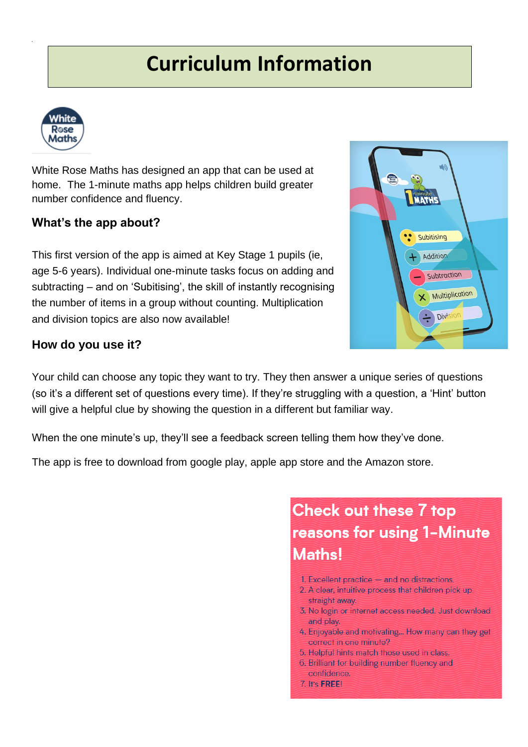## **Curriculum Information**



White Rose Maths has designed an app that can be used at home. The 1-minute maths app helps children build greater number confidence and fluency.

#### **What's the app about?**

This first version of the app is aimed at Key Stage 1 pupils (ie, age 5-6 years). Individual one-minute tasks focus on adding and subtracting – and on 'Subitising', the skill of instantly recognising the number of items in a group without counting. Multiplication and division topics are also now available!

#### **How do you use it?**

Your child can choose any topic they want to try. They then answer a unique series of questions (so it's a different set of questions every time). If they're struggling with a question, a 'Hint' button will give a helpful clue by showing the question in a different but familiar way.

When the one minute's up, they'll see a feedback screen telling them how they've done.

The app is free to download from google play, apple app store and the Amazon store.

### **Check out these 7 top** reasons for using 1-Minute Maths!

- 1. Excellent practice  $-$  and no distractions.
- 2. A clear, intuitive process that children pick up straight away.
- 3. No login or internet access needed. Just download and play.
- 4. Enjoyable and motivating... How many can they get correct in one minute?
- 5. Helpful hints match those used in class.
- 6. Brilliant for building number fluency and confidence.
- 7. It's FREE!